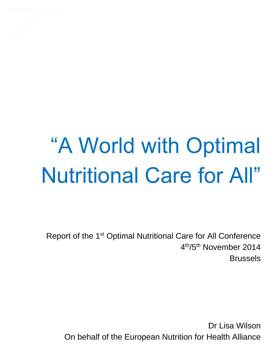# "A World with Optimal Nutritional Care for All"

Report of the 1st Optimal Nutritional Care for All Conference 4 th/5th November 2014 Brussels

Dr Lisa Wilson On behalf of the European Nutrition for Health Alliance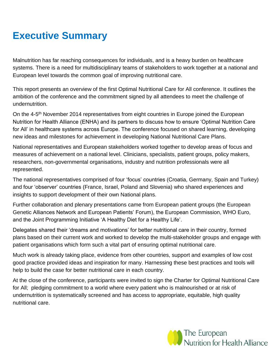# **Executive Summary**

Malnutrition has far reaching consequences for individuals, and is a heavy burden on healthcare systems. There is a need for multidisciplinary teams of stakeholders to work together at a national and European level towards the common goal of improving nutritional care.

This report presents an overview of the first Optimal Nutritional Care for All conference. It outlines the ambition of the conference and the commitment signed by all attendees to meet the challenge of undernutrition.

On the 4-5<sup>th</sup> November 2014 representatives from eight countries in Europe joined the European Nutrition for Health Alliance (ENHA) and its partners to discuss how to ensure 'Optimal Nutrition Care for All' in healthcare systems across Europe. The conference focused on shared learning, developing new ideas and milestones for achievement in developing National Nutritional Care Plans.

National representatives and European stakeholders worked together to develop areas of focus and measures of achievement on a national level. Clinicians, specialists, patient groups, policy makers, researchers, non-governmental organisations, industry and nutrition professionals were all represented.

The national representatives comprised of four 'focus' countries (Croatia, Germany, Spain and Turkey) and four 'observer' countries (France, Israel, Poland and Slovenia) who shared experiences and insights to support development of their own National plans.

Further collaboration and plenary presentations came from European patient groups (the European Genetic Alliances Network and European Patients' Forum), the European Commission, WHO Euro, and the Joint Programming Initiative 'A Healthy Diet for a Healthy Life'.

Delegates shared their 'dreams and motivations' for better nutritional care in their country, formed plans based on their current work and worked to develop the multi-stakeholder groups and engage with patient organisations which form such a vital part of ensuring optimal nutritional care.

Much work is already taking place, evidence from other countries, support and examples of low cost good practice provided ideas and inspiration for many. Harnessing these best practices and tools will help to build the case for better nutritional care in each country.

At the close of the conference, participants were invited to sign the Charter for Optimal Nutritional Care for All; pledging commitment to a world where every patient who is malnourished or at risk of undernutrition is systematically screened and has access to appropriate, equitable, high quality nutritional care.

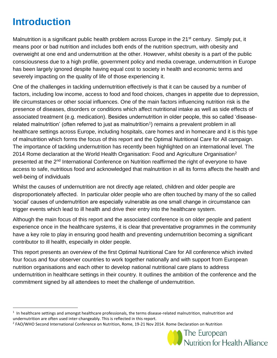# **Introduction**

 $\overline{a}$ 

Malnutrition is a significant public health problem across Europe in the 21<sup>st</sup> century. Simply put, it means poor or bad nutrition and includes both ends of the nutrition spectrum, with obesity and overweight at one end and undernutrition at the other. However, whilst obesity is a part of the public consciousness due to a high profile, government policy and media coverage, undernutrition in Europe has been largely ignored despite having equal cost to society in health and economic terms and severely impacting on the quality of life of those experiencing it.

One of the challenges in tackling undernutrition effectively is that it can be caused by a number of factors, including low income, access to food and food choices, changes in appetite due to depression, life circumstances or other social influences. One of the main factors influencing nutrition risk is the presence of diseases, disorders or conditions which affect nutritional intake as well as side effects of associated treatment (e.g. medication). Besides undernutrition in older people, this so called 'diseaserelated malnutrition' (often referred to just as malnutrition<sup>1</sup>) remains a prevalent problem in all healthcare settings across Europe, including hospitals, care homes and in homecare and it is this type of malnutrition which forms the focus of this report and the Optimal Nutritional Care for All campaign. The importance of tackling undernutrition has recently been highlighted on an international level. The 2014 Rome declaration at the World Health Organisation: Food and Agriculture Organisation<sup>2</sup> presented at the 2<sup>nd</sup> International Conference on Nutrition reaffirmed the right of everyone to have access to safe, nutritious food and acknowledged that malnutrition in all its forms affects the health and well-being of individuals

Whilst the causes of undernutrition are not directly age related, children and older people are disproportionately affected. In particular older people who are often touched by many of the so called 'social' causes of undernutrition are especially vulnerable as one small change in circumstance can trigger events which lead to ill health and drive their entry into the healthcare system.

Although the main focus of this report and the associated conference is on older people and patient experience once in the healthcare systems, it is clear that preventative programmes in the community have a key role to play in ensuring good health and preventing undernutrition becoming a significant contributor to ill health, especially in older people.

This report presents an overview of the first Optimal Nutritional Care for All conference which invited four focus and four observer countries to work together nationally and with support from European nutrition organisations and each other to develop national nutritional care plans to address undernutrition in healthcare settings in their country. It outlines the ambition of the conference and the commitment signed by all attendees to meet the challenge of undernutrition.

<sup>&</sup>lt;sup>2</sup> FAO/WHO Second International Conference on Nutrition, Rome, 19-21 Nov 2014. Rome Declaration on Nutrition



 $1$  In healthcare settings and amongst healthcare professionals, the terms disease-related malnutrition, malnutrition and undernutrition are often used inter-changeably. This is reflected in this report.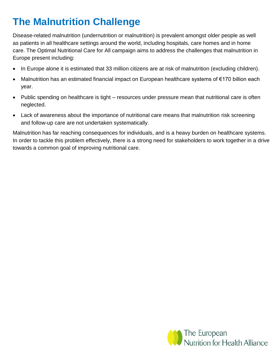# **The Malnutrition Challenge**

Disease-related malnutrition (undernutrition or malnutrition) is prevalent amongst older people as well as patients in all healthcare settings around the world, including hospitals, care homes and in home care. The Optimal Nutritional Care for All campaign aims to address the challenges that malnutrition in Europe present including:

- In Europe alone it is estimated that 33 million citizens are at risk of malnutrition (excluding children).
- Malnutrition has an estimated financial impact on European healthcare systems of €170 billion each year.
- Public spending on healthcare is tight resources under pressure mean that nutritional care is often neglected.
- Lack of awareness about the importance of nutritional care means that malnutrition risk screening and follow-up care are not undertaken systematically.

Malnutrition has far reaching consequences for individuals, and is a heavy burden on healthcare systems. In order to tackle this problem effectively, there is a strong need for stakeholders to work together in a drive towards a common goal of improving nutritional care.

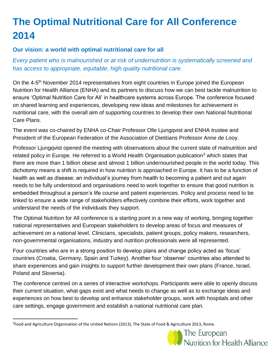# **The Optimal Nutritional Care for All Conference 2014**

# **Our vision: a world with optimal nutritional care for all**

*Every patient who is malnourished or at risk of undernutrition is systematically screened and has access to appropriate, equitable, high quality nutritional care.* 

On the 4-5<sup>th</sup> November 2014 representatives from eight countries in Europe joined the European Nutrition for Health Alliance (ENHA) and its partners to discuss how we can best tackle malnutrition to ensure 'Optimal Nutrition Care for All' in healthcare systems across Europe. The conference focused on shared learning and experiences, developing new ideas and milestones for achievement in nutritional care, with the overall aim of supporting countries to develop their own National Nutritional Care Plans.

The event was co-chaired by ENHA co-Chair Professor Olle Ljungqvist and ENHA trustee and President of the European Federation of the Association of Dietitians Professor Anne de Looy.

Professor Ljungqvist opened the meeting with observations about the current state of malnutrition and related policy in Europe. He referred to a World Health Organisation publication<sup>3</sup> which states that there are more than 1 billion obese and almost 1 billion undernourished people in the world today. This dichotomy means a shift is required in how nutrition is approached in Europe. It has to be a function of health as well as disease; an individual's journey from health to becoming a patient and out again needs to be fully understood and organisations need to work together to ensure that good nutrition is embedded throughout a person's life course and patient experiences. Policy and process need to be linked to ensure a wide range of stakeholders effectively combine their efforts, work together and understand the needs of the individuals they support.

The Optimal Nutrition for All conference is a starting point in a new way of working, bringing together national representatives and European stakeholders to develop areas of focus and measures of achievement on a national level. Clinicians, specialists, patient groups, policy makers, researchers, non-governmental organisations, industry and nutrition professionals were all represented.

Four countries who are in a strong position to develop plans and change policy acted as 'focus' countries (Croatia, Germany, Spain and Turkey). Another four 'observer' countries also attended to share experiences and gain insights to support further development their own plans (France, Israel, Poland and Slovenia).

The conference centred on a series of interactive workshops. Participants were able to openly discuss their current situation, what gaps exist and what needs to change as well as to exchange ideas and experiences on how best to develop and enhance stakeholder groups, work with hospitals and other care settings, engage government and establish a national nutritional care plan.

 $\overline{a}$ 

The European Nutrition for Health Alliance

<sup>&</sup>lt;sup>3</sup>Food and Agriculture Organisation of the United Nations (2013), The State of Food & Agriculture 2013, Rome.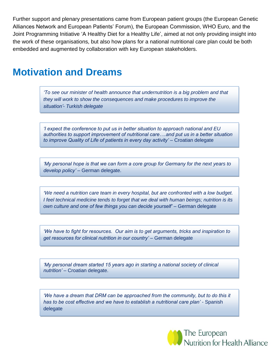Further support and plenary presentations came from European patient groups (the European Genetic Alliances Network and European Patients' Forum), the European Commission, WHO Euro, and the Joint Programming Initiative 'A Healthy Diet for a Healthy Life', aimed at not only providing insight into the work of these organisations, but also how plans for a national nutritional care plan could be both embedded and augmented by collaboration with key European stakeholders.

# **Motivation and Dreams**

*'To see our minister of health announce that undernutrition is a big problem and that they will work to show the consequences and make procedures to improve the situation'- Turkish delegate*

*'I expect the conference to put us in better situation to approach national and EU authorities to support improvement of nutritional care….and put us in a better situation to improve Quality of Life of patients in every day activity'* – Croatian delegate

*'My personal hope is that we can form a core group for Germany for the next years to develop policy'* – German delegate.

*'We need a nutrition care team in every hospital, but are confronted with a low budget. I feel technical medicine tends to forget that we deal with human beings; nutrition is its own culture and one of few things you can decide yourself'* – German delegate

*'We have to fight for resources. Our aim is to get arguments, tricks and inspiration to*  get resources for clinical nutrition in our country' – German delegate

*'My personal dream started 15 years ago in starting a national society of clinical nutrition'* – Croatian delegate.

'We have a dream that DRM can be approached from the community, but to do this it *has to be cost effective and we have to establish a nutritional care plan'* - Spanish delegate

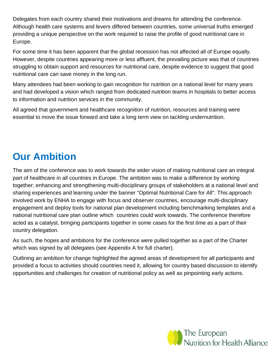Delegates from each country shared their motivations and dreams for attending the conference. Although health care systems and levers differed between countries, some universal truths emerged providing a unique perspective on the work required to raise the profile of good nutritional care in Europe.

For some time it has been apparent that the global recession has not affected all of Europe equally. However, despite countries appearing more or less affluent, the prevailing picture was that of countries struggling to obtain support and resources for nutritional care, despite evidence to suggest that good nutritional care can save money in the long run.

Many attendees had been working to gain recognition for nutrition on a national level for many years and had developed a vision which ranged from dedicated nutrition teams in hospitals to better access to information and nutrition services in the community.

All agreed that government and healthcare recognition of nutrition, resources and training were essential to move the issue forward and take a long term view on tackling undernutrition.

# **Our Ambition**

The aim of the conference was to work towards the wider vision of making nutritional care an integral part of healthcare in all countries in Europe. The ambition was to make a difference by working together; enhancing and strengthening multi-disciplinary groups of stakeholders at a national level and sharing experiences and learning under the banner "Optimal Nutritional Care for All". This approach involved work by ENHA to engage with focus and observer countries, encourage multi-disciplinary engagement and deploy tools for national plan development including benchmarking templates and a national nutritional care plan outline which countries could work towards. The conference therefore acted as a catalyst, bringing participants together in some cases for the first time as a part of their country delegation.

As such, the hopes and ambitions for the conference were pulled together as a part of the Charter which was signed by all delegates (see Appendix A for full charter).

Outlining an ambition for change highlighted the agreed areas of development for all participants and provided a focus to activities should countries need it, allowing for country based discussion to identify opportunities and challenges for creation of nutritional policy as well as pinpointing early actions.

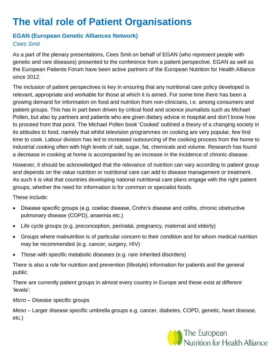# **The vital role of Patient Organisations**

### **EGAN (European Genetic Alliances Network)** *Cees Smit*

As a part of the plenary presentations, Cees Smit on behalf of EGAN (who represent people with genetic and rare diseases) presented to the conference from a patient perspective. EGAN as well as the European Patients Forum have been active partners of the European Nutrition for Health Alliance since 2012.

The inclusion of patient perspectives is key in ensuring that any nutritional care policy developed is relevant, appropriate and workable for those at which it is aimed. For some time there has been a growing demand for information on food and nutrition from non-clinicians, i.e. among consumers and patient groups. This has in part been driven by critical food and science journalists such as Michael Pollen, but also by partners and patients who are given dietary advice in hospital and don't know how to proceed from that point. The Michael Pollen book 'Cooked' outlined a theory of a changing society in its attitudes to food, namely that whilst television programmes on cooking are very popular, few find time to cook. Labour division has led to increased outsourcing of the cooking process from the home to industrial cooking often with high levels of salt, sugar, fat, chemicals and volume. Research has found a decrease in cooking at home is accompanied by an increase in the incidence of chronic disease.

However, it should be acknowledged that the relevance of nutrition can vary according to patient group and depends on the value nutrition or nutritional care can add to disease management or treatment. As such it is vital that countries developing national nutritional care plans engage with the right patient groups, whether the need for information is for common or specialist foods.

These include:

- Disease specific groups (e.g. coeliac disease, Crohn's disease and colitis, chronic obstructive pulmonary disease (COPD), anaemia etc.)
- Life cycle groups (e.g. preconception, perinatal, pregnancy, maternal and elderly)
- Groups where malnutrition is of particular concern to their condition and for whom medical nutrition may be recommended (e.g. cancer, surgery, HIV)
- Those with specific metabolic diseases (e.g. rare inherited disorders)

There is also a role for nutrition and prevention (lifestyle) information for patients and the general public.

There are currently patient groups in almost every country in Europe and these exist at different 'levels':

*Micro* – Disease specific groups

*Meso* – Larger disease specific umbrella groups e.g. cancer, diabetes, COPD, genetic, heart disease, etc.)

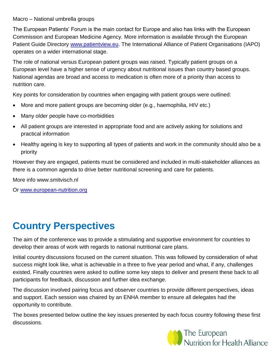#### Macro – National umbrella groups

The European Patients' Forum is the main contact for Europe and also has links with the European Commission and European Medicine Agency. More information is available through the European Patient Guide Directory [www.patientview.eu.](http://www.patientview.eu/) The International Alliance of Patient Organisations (IAPO) operates on a wider international stage.

The role of national versus European patient groups was raised. Typically patient groups on a European level have a higher sense of urgency about nutritional issues than country based groups. National agendas are broad and access to medication is often more of a priority than access to nutrition care.

Key points for consideration by countries when engaging with patient groups were outlined:

- More and more patient groups are becoming older (e.g., haemophilia, HIV etc.)
- Many older people have co-morbidities
- All patient groups are interested in appropriate food and are actively asking for solutions and practical information
- Healthy ageing is key to supporting all types of patients and work in the community should also be a priority

However they are engaged, patients must be considered and included in multi-stakeholder alliances as there is a common agenda to drive better nutritional screening and care for patients.

More info www.smitvisch.nl

Or [www.european-nutrition.org](http://www.european-nutrition.org/)

# **Country Perspectives**

The aim of the conference was to provide a stimulating and supportive environment for countries to develop their areas of work with regards to national nutritional care plans.

Initial country discussions focused on the current situation. This was followed by consideration of what success might look like, what is achievable in a three to five year period and what, if any, challenges existed. Finally countries were asked to outline some key steps to deliver and present these back to all participants for feedback, discussion and further idea exchange.

The discussion involved pairing focus and observer countries to provide different perspectives, ideas and support. Each session was chaired by an ENHA member to ensure all delegates had the opportunity to contribute.

The boxes presented below outline the key issues presented by each focus country following these first discussions.

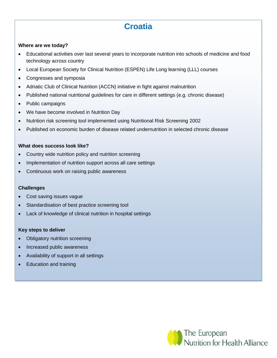# **Croatia**

#### **Where are we today?**

- Educational activities over last several years to incorporate nutrition into schools of medicine and food technology across country
- Local European Society for Clinical Nutrition (ESPEN) Life Long learning (LLL) courses
- Congresses and symposia
- Adriatic Club of Clinical Nutrition (ACCN) initiative in fight against malnutrition
- Published national nutritional guidelines for care in different settings (e.g. chronic disease)
- Public campaigns
- We have become involved in Nutrition Day
- Nutrition risk screening tool implemented using Nutritional Risk Screening 2002
- Published on economic burden of disease related undernutrition in selected chronic disease

#### **What does success look like?**

- Country wide nutrition policy and nutrition screening
- Implementation of nutrition support across all care settings
- Continuous work on raising public awareness

#### **Challenges**

- Cost saving issues vague
- Standardisation of best practice screening tool
- Lack of knowledge of clinical nutrition in hospital settings

#### **Key steps to deliver**

- Obligatory nutrition screening
- Increased public awareness
- Availability of support in all settings
- Education and training

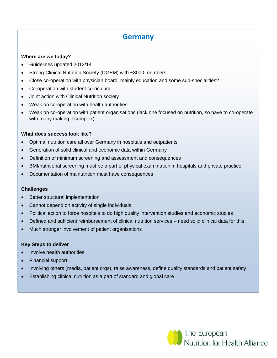# **Germany**

#### **Where are we today?**

- Guidelines updated 2013/14
- Strong Clinical Nutrition Society (DGEM) with ~3000 members
- Close co-operation with physician board, mainly education and some sub-specialities?
- Co-operation with student curriculum
- Joint action with Clinical Nutrition society
- Weak on co-operation with health authorities
- Weak on co-operation with patient organisations (lack one focused on nutrition, so have to co-operate with many making it complex)

#### **What does success look like?**

- Optimal nutrition care all over Germany in hospitals and outpatients
- Generation of solid clinical and economic data within Germany
- Definition of minimum screening and assessment and consequences
- BMI/nutritional screening must be a part of physical examination in hospitals and private practice
- Documentation of malnutrition must have consequences

#### **Challenges**

- Better structural implementation
- Cannot depend on activity of single individuals
- Political action to force hospitals to do high quality intervention studies and economic studies
- Defined and sufficient reimbursement of clinical nutrition services need solid clinical data for this
- Much stronger involvement of patient organisations

#### **Key Steps to deliver**

- Involve health authorities
- Financial support
- Involving others (media, patient orgs), raise awareness, define quality standards and patient safety
- Establishing clinical nutrition as a part of standard and global care

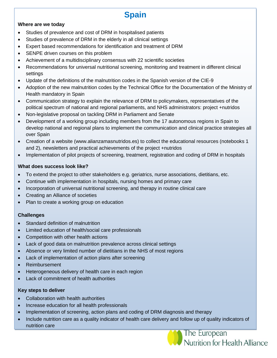# **Spain**

#### **Where are we today**

- Studies of prevalence and cost of DRM in hospitalised patients
- Studies of prevalence of DRM in the elderly in all clinical settings
- Expert based recommendations for identification and treatment of DRM
- SENPE driven courses on this problem
- Achievement of a multidisciplinary consensus with 22 scientific societies
- Recommendations for universal nutritional screening, monitoring and treatment in different clinical settings
- Update of the definitions of the malnutrition codes in the Spanish version of the CIE-9
- Adoption of the new malnutrition codes by the Technical Office for the Documentation of the Ministry of Health mandatory in Spain
- Communication strategy to explain the relevance of DRM to policymakers, representatives of the political spectrum of national and regional parliaments, and NHS administrators: project +nutridos
- Non-legislative proposal on tackling DRM in Parliament and Senate
- Development of a working group including members from the 17 autonomous regions in Spain to develop national and regional plans to implement the communication and clinical practice strategies all over Spain
- Creation of a website (www.alianzamasnutridos.es) to collect the educational resources (notebooks 1 and 2), newsletters and practical achievements of the project +nutridos
- Implementation of pilot projects of screening, treatment, registration and coding of DRM in hospitals

#### **What does success look like?**

- To extend the project to other stakeholders e.g. geriatrics, nurse associations, dietitians, etc.
- Continue with implementation in hospitals, nursing homes and primary care
- Incorporation of universal nutritional screening, and therapy in routine clinical care
- Creating an Alliance of societies
- Plan to create a working group on education

#### **Challenges**

- Standard definition of malnutrition
- Limited education of health/social care professionals
- Competition with other health actions
- Lack of good data on malnutrition prevalence across clinical settings
- Absence or very limited number of dietitians in the NHS of most regions
- Lack of implementation of action plans after screening
- Reimbursement
- Heterogeneous delivery of health care in each region
- Lack of commitment of health authorities

#### **Key steps to deliver**

- Collaboration with health authorities
- Increase education for all health professionals
- Implementation of screening, action plans and coding of DRM diagnosis and therapy
- Include nutrition care as a quality indicator of health care delivery and follow up of quality indicators of nutrition care

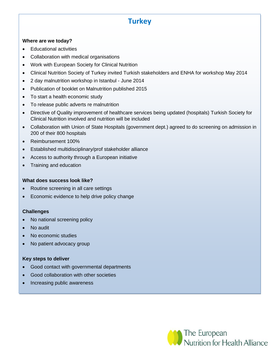# **Turkey**

#### **Where are we today?**

- Educational activities
- Collaboration with medical organisations
- Work with European Society for Clinical Nutrition
- Clinical Nutrition Society of Turkey invited Turkish stakeholders and ENHA for workshop May 2014
- 2 day malnutrition workshop in Istanbul June 2014
- Publication of booklet on Malnutrition published 2015
- To start a health economic study
- To release public adverts re malnutrition
- Directive of Quality improvement of healthcare services being updated (hospitals) Turkish Society for Clinical Nutrition involved and nutrition will be included
- Collaboration with Union of State Hospitals (government dept.) agreed to do screening on admission in 200 of their 800 hospitals
- Reimbursement 100%
- Established multidisciplinary/prof stakeholder alliance
- Access to authority through a European initiative
- Training and education

#### **What does success look like?**

- Routine screening in all care settings
- Economic evidence to help drive policy change

### **Challenges**

- No national screening policy
- No audit
- No economic studies
- No patient advocacy group

### **Key steps to deliver**

- Good contact with governmental departments
- Good collaboration with other societies
- Increasing public awareness

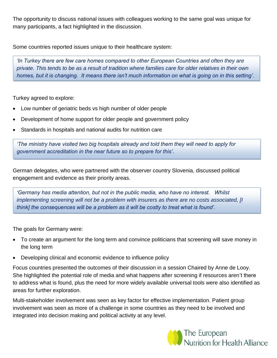The opportunity to discuss national issues with colleagues working to the same goal was unique for many participants, a fact highlighted in the discussion.

Some countries reported issues unique to their healthcare system:

*'In Turkey there are few care homes compared to other European Countries and often they are private. This tends to be as a result of tradition where families care for older relatives in their own homes, but it is changing. It means there isn't much information on what is going on in this setting'.*

Turkey agreed to explore:

- Low number of geriatric beds vs high number of older people
- Development of home support for older people and government policy
- Standards in hospitals and national audits for nutrition care

*'The ministry have visited two big hospitals already and told them they will need to apply for government accreditation in the near future so to prepare for this'*.

German delegates, who were partnered with the observer country Slovenia, discussed political engagement and evidence as their priority areas.

*'Germany has media attention, but not in the public media, who have no interest. Whilst implementing screening will not be a problem with insurers as there are no costs associated, [I think] the consequences will be a problem as it will be costly to treat what is found'.* 

The goals for Germany were:

- To create an argument for the long term and convince politicians that screening will save money in the long term
- Developing clinical and economic evidence to influence policy

Focus countries presented the outcomes of their discussion in a session Chaired by Anne de Looy. She highlighted the potential role of media and what happens after screening if resources aren't there to address what is found, plus the need for more widely available universal tools were also identified as areas for further exploration.

Multi-stakeholder involvement was seen as key factor for effective implementation. Patient group involvement was seen as more of a challenge in some countries as they need to be involved and integrated into decision making and political activity at any level.

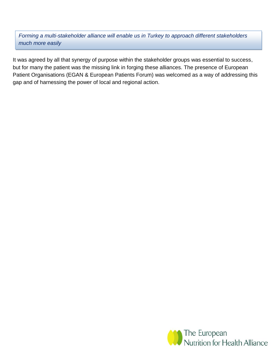*Forming a multi-stakeholder alliance will enable us in Turkey to approach different stakeholders much more easily* 

It was agreed by all that synergy of purpose within the stakeholder groups was essential to success, but for many the patient was the missing link in forging these alliances. The presence of European Patient Organisations (EGAN & European Patients Forum) was welcomed as a way of addressing this gap and of harnessing the power of local and regional action.

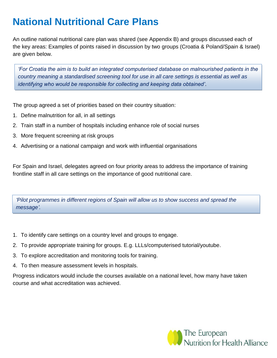# **National Nutritional Care Plans**

An outline national nutritional care plan was shared (see Appendix B) and groups discussed each of the key areas: Examples of points raised in discussion by two groups (Croatia & Poland/Spain & Israel) are given below.

*'For Croatia the aim is to build an integrated computerised database on malnourished patients in the country meaning a standardised screening tool for use in all care settings is essential as well as identifying who would be responsible for collecting and keeping data obtained'*.

The group agreed a set of priorities based on their country situation:

- 1. Define malnutrition for all, in all settings
- 2. Train staff in a number of hospitals including enhance role of social nurses
- 3. More frequent screening at risk groups
- 4. Advertising or a national campaign and work with influential organisations

For Spain and Israel, delegates agreed on four priority areas to address the importance of training frontline staff in all care settings on the importance of good nutritional care.

*'Pilot programmes in different regions of Spain will allow us to show success and spread the message'.*

- 1. To identify care settings on a country level and groups to engage.
- 2. To provide appropriate training for groups. E.g. LLLs/computerised tutorial/youtube.
- 3. To explore accreditation and monitoring tools for training.
- 4. To then measure assessment levels in hospitals.

Progress indicators would include the courses available on a national level, how many have taken course and what accreditation was achieved.

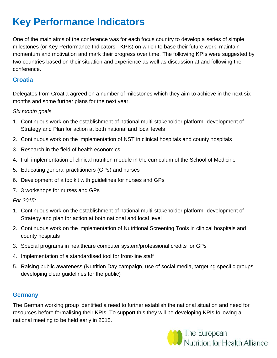# **Key Performance Indicators**

One of the main aims of the conference was for each focus country to develop a series of simple milestones (or Key Performance Indicators - KPIs) on which to base their future work, maintain momentum and motivation and mark their progress over time. The following KPIs were suggested by two countries based on their situation and experience as well as discussion at and following the conference.

### **Croatia**

Delegates from Croatia agreed on a number of milestones which they aim to achieve in the next six months and some further plans for the next year.

### *Six month goals*

- 1. Continuous work on the establishment of national multi-stakeholder platform- development of Strategy and Plan for action at both national and local levels
- 2. Continuous work on the implementation of NST in clinical hospitals and county hospitals
- 3. Research in the field of health economics
- 4. Full implementation of clinical nutrition module in the curriculum of the School of Medicine
- 5. Educating general practitioners (GPs) and nurses
- 6. Development of a toolkit with guidelines for nurses and GPs
- 7. 3 workshops for nurses and GPs

### *For 2015:*

- 1. Continuous work on the establishment of national multi-stakeholder platform- development of Strategy and plan for action at both national and local level
- 2. Continuous work on the implementation of Nutritional Screening Tools in clinical hospitals and county hospitals
- 3. Special programs in healthcare computer system/professional credits for GPs
- 4. Implementation of a standardised tool for front-line staff
- 5. Raising public awareness (Nutrition Day campaign, use of social media, targeting specific groups, developing clear guidelines for the public)

### **Germany**

The German working group identified a need to further establish the national situation and need for resources before formalising their KPIs. To support this they will be developing KPIs following a national meeting to be held early in 2015.

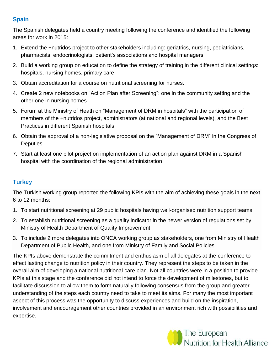# **Spain**

The Spanish delegates held a country meeting following the conference and identified the following areas for work in 2015:

- 1. Extend the +nutridos project to other stakeholders including: geriatrics, nursing, pediatricians, pharmacists, endocrinologists, patient's associations and hospital managers
- 2. Build a working group on education to define the strategy of training in the different clinical settings: hospitals, nursing homes, primary care
- 3. Obtain accreditation for a course on nutritional screening for nurses.
- 4. Create 2 new notebooks on "Action Plan after Screening": one in the community setting and the other one in nursing homes
- 5. Forum at the Ministry of Heath on "Management of DRM in hospitals" with the participation of members of the +nutridos project, administrators (at national and regional levels), and the Best Practices in different Spanish hospitals
- 6. Obtain the approval of a non-legislative proposal on the "Management of DRM" in the Congress of **Deputies**
- 7. Start at least one pilot project on implementation of an action plan against DRM in a Spanish hospital with the coordination of the regional administration

# **Turkey**

The Turkish working group reported the following KPIs with the aim of achieving these goals in the next 6 to 12 months:

- 1. To start nutritional screening at 29 public hospitals having well-organised nutrition support teams
- 2. To establish nutritional screening as a quality indicator in the newer version of regulations set by Ministry of Health Department of Quality Improvement
- 3. To include 2 more delegates into ONCA working group as stakeholders, one from Ministry of Health Department of Public Health, and one from Ministry of Family and Social Policies

The KPIs above demonstrate the commitment and enthusiasm of all delegates at the conference to effect lasting change to nutrition policy in their country. They represent the steps to be taken in the overall aim of developing a national nutritional care plan. Not all countries were in a position to provide KPIs at this stage and the conference did not intend to force the development of milestones, but to facilitate discussion to allow them to form naturally following consensus from the group and greater understanding of the steps each country need to take to meet its aims. For many the most important aspect of this process was the opportunity to discuss experiences and build on the inspiration, involvement and encouragement other countries provided in an environment rich with possibilities and expertise.

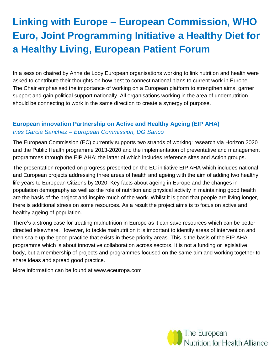# **Linking with Europe – European Commission, WHO Euro, Joint Programming Initiative a Healthy Diet for a Healthy Living, European Patient Forum**

In a session chaired by Anne de Looy European organisations working to link nutrition and health were asked to contribute their thoughts on how best to connect national plans to current work in Europe. The Chair emphasised the importance of working on a European platform to strengthen aims, garner support and gain political support nationally. All organisations working in the area of undernutrition should be connecting to work in the same direction to create a synergy of purpose.

# **European innovation Partnership on Active and Healthy Ageing (EIP AHA)** *Ines Garcia Sanchez – European Commission, DG Sanco*

The European Commission (EC) currently supports two strands of working: research via Horizon 2020 and the Public Health programme 2013-2020 and the implementation of preventative and management programmes through the EIP AHA; the latter of which includes reference sites and Action groups.

The presentation reported on progress presented on the EC initiative EIP AHA which includes national and European projects addressing three areas of health and ageing with the aim of adding two healthy life years to European Citizens by 2020. Key facts about ageing in Europe and the changes in population demography as well as the role of nutrition and physical activity in maintaining good health are the basis of the project and inspire much of the work. Whilst it is good that people are living longer, there is additional stress on some resources. As a result the project aims is to focus on active and healthy ageing of population.

There's a strong case for treating malnutrition in Europe as it can save resources which can be better directed elsewhere. However, to tackle malnutrition it is important to identify areas of intervention and then scale up the good practice that exists in these priority areas. This is the basis of the EIP AHA programme which is about innovative collaboration across sectors. It is not a funding or legislative body, but a membership of projects and programmes focused on the same aim and working together to share ideas and spread good practice.

More information can be found at [www.eceuropa.com](http://www.eceuropa.com/)

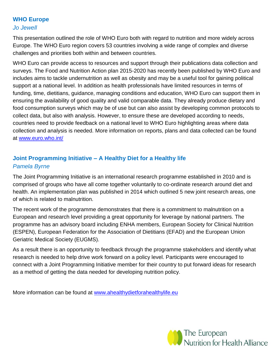# **WHO Europe**

#### *Jo Jewell*

This presentation outlined the role of WHO Euro both with regard to nutrition and more widely across Europe. The WHO Euro region covers 53 countries involving a wide range of complex and diverse challenges and priorities both within and between countries.

WHO Euro can provide access to resources and support through their publications data collection and surveys. The Food and Nutrition Action plan 2015-2020 has recently been published by WHO Euro and includes aims to tackle undernutrition as well as obesity and may be a useful tool for gaining political support at a national level. In addition as health professionals have limited resources in terms of funding, time, dietitians, guidance, managing conditions and education, WHO Euro can support them in ensuring the availability of good quality and valid comparable data. They already produce dietary and food consumption surveys which may be of use but can also assist by developing common protocols to collect data, but also with analysis. However, to ensure these are developed according to needs, countries need to provide feedback on a national level to WHO Euro highlighting areas where data collection and analysis is needed. More information on reports, plans and data collected can be found at [www.euro.who.int/](http://www.euro.who.int/)

# **Joint Programming Initiative – A Healthy Diet for a Healthy life** *Pamela Byrne*

The Joint Programming Initiative is an international research programme established in 2010 and is comprised of groups who have all come together voluntarily to co-ordinate research around diet and health. An implementation plan was published in 2014 which outlined 5 new joint research areas, one of which is related to malnutrition.

The recent work of the programme demonstrates that there is a commitment to malnutrition on a European and research level providing a great opportunity for leverage by national partners. The programme has an advisory board including ENHA members, European Society for Clinical Nutrition (ESPEN), European Federation for the Association of Dietitians (EFAD) and the European Union Geriatric Medical Society (EUGMS).

As a result there is an opportunity to feedback through the programme stakeholders and identify what research is needed to help drive work forward on a policy level. Participants were encouraged to connect with a Joint Programming Initiative member for their country to put forward ideas for research as a method of getting the data needed for developing nutrition policy.

More information can be found at [www.ahealthydietforahealthylife.eu](http://www.ahealthydietforahealthylife.eu/)

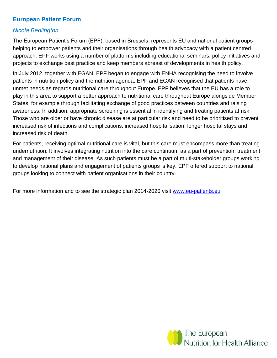# **European Patient Forum**

### *Nicola Bedlington*

The European Patient's Forum (EPF), based in Brussels, represents EU and national patient groups helping to empower patients and their organisations through health advocacy with a patient centred approach. EPF works using a number of platforms including educational seminars, policy initiatives and projects to exchange best practice and keep members abreast of developments in health policy.

In July 2012, together with EGAN, EPF began to engage with ENHA recognising the need to involve patients in nutrition policy and the nutrition agenda. EPF and EGAN recognised that patients have unmet needs as regards nutritional care throughout Europe. EPF believes that the EU has a role to play in this area to support a better approach to nutritional care throughout Europe alongside Member States, for example through facilitating exchange of good practices between countries and raising awareness. In addition, appropriate screening is essential in identifying and treating patients at risk. Those who are older or have chronic disease are at particular risk and need to be prioritised to prevent increased risk of infections and complications, increased hospitalisation, longer hospital stays and increased risk of death.

For patients, receiving optimal nutritional care is vital, but this care must encompass more than treating undernutrition. It involves integrating nutrition into the care continuum as a part of prevention, treatment and management of their disease. As such patients must be a part of multi-stakeholder groups working to develop national plans and engagement of patients groups is key. EPF offered support to national groups looking to connect with patient organisations in their country.

For more information and to see the strategic plan 2014-2020 visit [www.eu-patients.eu](http://www.eu-patients.eu/)

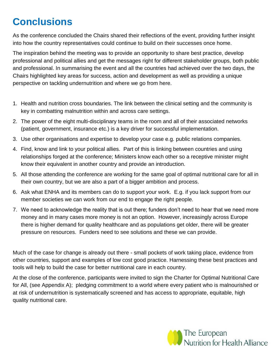# **Conclusions**

As the conference concluded the Chairs shared their reflections of the event, providing further insight into how the country representatives could continue to build on their successes once home.

The inspiration behind the meeting was to provide an opportunity to share best practice, develop professional and political allies and get the messages right for different stakeholder groups, both public and professional. In summarising the event and all the countries had achieved over the two days, the Chairs highlighted key areas for success, action and development as well as providing a unique perspective on tackling undernutrition and where we go from here.

- 1. Health and nutrition cross boundaries. The link between the clinical setting and the community is key in combatting malnutrition within and across care settings.
- 2. The power of the eight multi-disciplinary teams in the room and all of their associated networks (patient, government, insurance etc.) is a key driver for successful implementation.
- 3. Use other organisations and expertise to develop your case e.g. public relations companies.
- 4. Find, know and link to your political allies. Part of this is linking between countries and using relationships forged at the conference; Ministers know each other so a receptive minister might know their equivalent in another country and provide an introduction.
- 5. All those attending the conference are working for the same goal of optimal nutritional care for all in their own country, but we are also a part of a bigger ambition and process.
- 6. Ask what ENHA and its members can do to support your work. E.g. if you lack support from our member societies we can work from our end to engage the right people.
- 7. We need to acknowledge the reality that is out there; funders don't need to hear that we need more money and in many cases more money is not an option. However, increasingly across Europe there is higher demand for quality healthcare and as populations get older, there will be greater pressure on resources. Funders need to see solutions and these we can provide.

Much of the case for change is already out there - small pockets of work taking place, evidence from other countries, support and examples of low cost good practice. Harnessing these best practices and tools will help to build the case for better nutritional care in each country.

At the close of the conference, participants were invited to sign the Charter for Optimal Nutritional Care for All, (see Appendix A); pledging commitment to a world where every patient who is malnourished or at risk of undernutrition is systematically screened and has access to appropriate, equitable, high quality nutritional care.

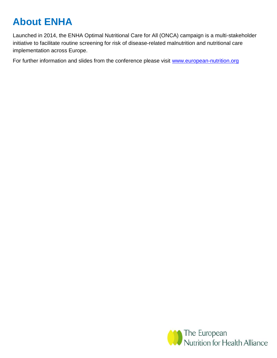# **About ENHA**

Launched in 2014, the ENHA Optimal Nutritional Care for All (ONCA) campaign is a multi-stakeholder initiative to facilitate routine screening for risk of disease-related malnutrition and nutritional care implementation across Europe.

For further information and slides from the conference please visit [www.european-nutrition.org](http://www.european-nutrition.org/)

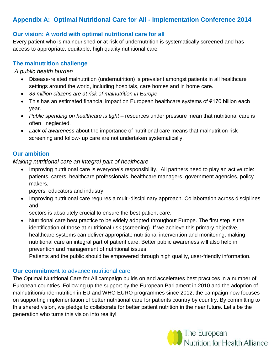# **Appendix A: Optimal Nutritional Care for All - Implementation Conference 2014**

# **Our vision: A world with optimal nutritional care for all**

Every patient who is malnourished or at risk of undernutrition is systematically screened and has access to appropriate, equitable, high quality nutritional care.

### **The malnutrition challenge**

#### *A public health burden*

- Disease-related malnutrition (undernutrition) is prevalent amongst patients in all healthcare settings around the world, including hospitals, care homes and in home care.
- *33 million citizens are at risk of malnutrition in Europe*
- This has an estimated financial impact on European healthcare systems of €170 billion each year.
- Public spending on healthcare is tight resources under pressure mean that nutritional care is often neglected.
- *Lack of awareness* about the importance of nutritional care means that malnutrition risk screening and follow- up care are not undertaken systematically.

### **Our ambition**

### *Making nutritional care an integral part of healthcare*

• Improving nutritional care is everyone's responsibility. All partners need to play an active role: patients, carers, healthcare professionals, healthcare managers, government agencies, policy makers,

payers, educators and industry.

• Improving nutritional care requires a multi-disciplinary approach. Collaboration across disciplines and

sectors is absolutely crucial to ensure the best patient care.

 Nutritional care best practice to be widely adopted throughout Europe. The first step is the identification of those at nutritional risk (screening). If we achieve this primary objective, healthcare systems can deliver appropriate nutritional intervention and monitoring, making nutritional care an integral part of patient care. Better public awareness will also help in prevention and management of nutritional issues.

Patients and the public should be empowered through high quality, user-friendly information.

### **Our commitment** to advance nutritional care

The Optimal Nutritional Care for All campaign builds on and accelerates best practices in a number of European countries. Following up the support by the European Parliament in 2010 and the adoption of malnutrition/undernutrition in EU and WHO EURO programmes since 2012, the campaign now focuses on supporting implementation of better nutritional care for patients country by country. By committing to this shared vision, we pledge to collaborate for better patient nutrition in the near future. Let's be the generation who turns this vision into reality!

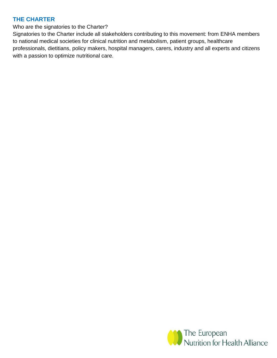### **THE CHARTER**

Who are the signatories to the Charter?

Signatories to the Charter include all stakeholders contributing to this movement: from ENHA members to national medical societies for clinical nutrition and metabolism, patient groups, healthcare professionals, dietitians, policy makers, hospital managers, carers, industry and all experts and citizens with a passion to optimize nutritional care.

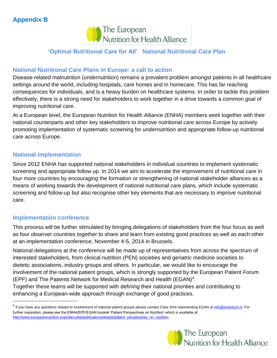# **Appendix B**



# **'Optimal Nutritional Care for All' National Nutritional Care Plan**

### **National Nutritional Care Plans in Europe: a call to action**

Disease-related malnutrition (undernutrition) remains a prevalent problem amongst patients in all healthcare settings around the world, including hospitals, care homes and in homecare. This has far reaching consequences for individuals, and is a heavy burden on healthcare systems. In order to tackle this problem effectively, there is a strong need for stakeholders to work together in a drive towards a common goal of improving nutritional care.

At a European level, the European Nutrition for Health Alliance (ENHA) members work together with their national counterparts and other key stakeholders to improve nutritional care across Europe by actively promoting implementation of systematic screening for undernutrition and appropriate follow-up nutritional care across Europe.

### **National Implementation**

Since 2012 ENHA has supported national stakeholders in individual countries to implement systematic screening and appropriate follow up. In 2014 we aim to accelerate the improvement of nutritional care in four more countries by encouraging the formation or strengthening of national stakeholder alliances as a means of working towards the development of national nutritional care plans, which include systematic screening and follow-up but also recognise other key elements that are necessary to improve nutritional care.

### **Implementation conference**

 $\overline{a}$ 

This process will be further stimulated by bringing delegations of stakeholders from the four focus as well as four observer countries together to share and learn from existing good practices as well as each other at an implementation conference, November 4-5, 2014 in Brussels.

National delegations at the conference will be made up of representatives from across the spectrum of interested stakeholders, from clinical nutrition (PEN) societies and geriatric medicine societies to dietetic associations, industry groups and others. In particular, we would like to encourage the involvement of the national patient groups, which is strongly supported by the European Patient Forum (EPF) and The Patients Network for Medical Research and Health (EGAN)<sup>4</sup>.

Together these teams will be supported with defining their national priorities and contributing to enhancing a European-wide approach through exchange of good practices.

<sup>&</sup>lt;sup>4</sup> If you have any questions related to involvement of national patient groups please contact Cees Smit representing EGAN at *info@smitvisch.nl*. For further inspiration, please see the ENHA/EPF/EGAN booklet 'Patient Perspectives on Nutrition' which is available at [http://www.europeannutrition.org/index.php/publications/details/patient\\_perspectives\\_on\\_nutrition](http://www.european-nutrition.org/index.php/publications/details/patient_perspectives_on_nutrition)

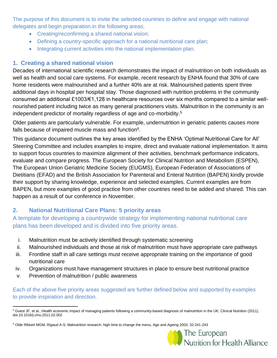The purpose of this document is to invite the selected countries to define and engage with national delegates and begin preparation in the following areas;

- Creating/reconfirming a shared national vision;
- Defining a country-specific approach for a national nutritional care plan;
- Integrating current activities into the national implementation plan.

# **1. Creating a shared national vision**

Decades of international scientific research demonstrates the impact of malnutrition on both individuals as well as health and social care systems. For example, recent research by ENHA found that 30% of care home residents were malnourished and a further 40% are at risk. Malnourished patients spent three additional days in hospital per hospital stay. Those diagnosed with nutrition problems in the community consumed an additional £1003/€1,128 in healthcare resources over six months compared to a similar wellnourished patient including twice as many general practitioners visits. Malnutrition in the community is an independent predictor of mortality regardless of age and co-morbidity.<sup>5</sup>

Older patients are particularly vulnerable. For example, undernutrition in geriatric patients causes more falls because of impaired muscle mass and function<sup>6</sup>.

This guidance document outlines the key areas identified by the ENHA 'Optimal Nutritional Care for All' Steering Committee and includes examples to inspire, direct and evaluate national implementation. It aims to support focus countries to maximize alignment of their activities, benchmark performance indicators, evaluate and compare progress. The European Society for Clinical Nutrition and Metabolism (ESPEN), The European Union Geriatric Medicine Society (EUGMS), European Federation of Associations of Dietitians (EFAD) and the British Association for Parenteral and Enteral Nutrition (BAPEN) kindly provide their support by sharing knowledge, experience and selected examples. Current examples are from BAPEN, but more examples of good practice from other countries need to be added and shared. This can happen as a result of our conference in November.

# **2. National Nutritional Care Plans: 5 priority areas**

A template for developing a countrywide strategy for implementing national nutritional care plans has been developed and is divided into five priority areas.

- i. Malnutrition must be actively identified through systematic screening
- ii. Malnourished individuals and those at risk of malnutrition must have appropriate care pathways
- iii. Frontline staff in all care settings must receive appropriate training on the importance of good nutritional care
- iv. Organizations must have management structures in place to ensure best nutritional practice
- v. Prevention of malnutrition / public awareness

Each of the above five priority areas suggested are further defined below and supported by examples to provide inspiration and direction.

<sup>6</sup> Olde Rikkert MGM, Rigaud A-S, Malnutrition research: high time to change the menu, Age and Ageing 2003; 32:241-243



 $\overline{a}$ <sup>5</sup> Guest JF, et al., Health economic impact of managing patients following a community-based diagnosis of malnutrition in the UK, Clinical Nutrition (2011), doi:10.1016/j.clnu.2011.02.002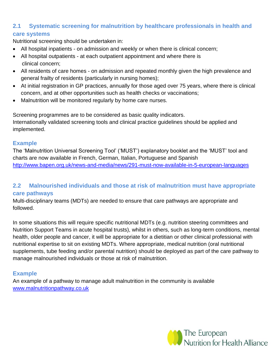# **2.1 Systematic screening for malnutrition by healthcare professionals in health and care systems**

Nutritional screening should be undertaken in:

- All hospital inpatients on admission and weekly or when there is clinical concern;
- All hospital outpatients at each outpatient appointment and where there is clinical concern;
- All residents of care homes on admission and repeated monthly given the high prevalence and general frailty of residents (particularly in nursing homes);
- At initial registration in GP practices, annually for those aged over 75 years, where there is clinical concern, and at other opportunities such as health checks or vaccinations;
- Malnutrition will be monitored regularly by home care nurses.

Screening programmes are to be considered as basic quality indicators. Internationally validated screening tools and clinical practice guidelines should be applied and implemented.

### **Example**

The 'Malnutrition Universal Screening Tool' ('MUST') explanatory booklet and the 'MUST' tool and charts are now available in French, German, Italian, Portuguese and Spanish <http://www.bapen.org.uk/news-and-media/news/291-must-now-available-in-5-european-languages>

# **2.2 Malnourished individuals and those at risk of malnutrition must have appropriate care pathways**

Multi-disciplinary teams (MDTs) are needed to ensure that care pathways are appropriate and followed.

In some situations this will require specific nutritional MDTs (e.g. nutrition steering committees and Nutrition Support Teams in acute hospital trusts), whilst in others, such as long-term conditions, mental health, older people and cancer, it will be appropriate for a dietitian or other clinical professional with nutritional expertise to sit on existing MDTs. Where appropriate, medical nutrition (oral nutritional supplements, tube feeding and/or parental nutrition) should be deployed as part of the care pathway to manage malnourished individuals or those at risk of malnutrition.

# **Example**

An example of a pathway to manage adult malnutrition in the community is available [www.malnutritionpathway.co.uk](http://www.malnutritionpathway.co.uk/)

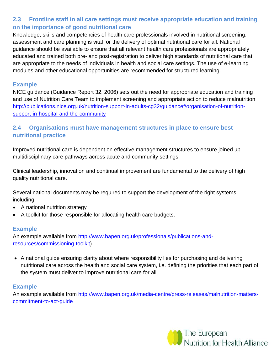# **2.3 Frontline staff in all care settings must receive appropriate education and training on the importance of good nutritional care**

Knowledge, skills and competencies of health care professionals involved in nutritional screening, assessment and care planning is vital for the delivery of optimal nutritional care for all. National guidance should be available to ensure that all relevant health care professionals are appropriately educated and trained both pre- and post-registration to deliver high standards of nutritional care that are appropriate to the needs of individuals in health and social care settings. The use of e-learning modules and other educational opportunities are recommended for structured learning.

### **Example**

NICE guidance (Guidance Report 32, 2006) sets out the need for appropriate education and training and use of Nutrition Care Team to implement screening and appropriate action to reduce malnutrition [http://publications.nice.org.uk/nutrition-support-in-adults-cg32/guidance#organisation-of-nutrition](http://publications.nice.org.uk/nutrition-support-in-adults-cg32/guidance#organisation-of-nutrition-support-in-hospital-and-the-community)[support-in-hospital-and-the-community](http://publications.nice.org.uk/nutrition-support-in-adults-cg32/guidance#organisation-of-nutrition-support-in-hospital-and-the-community)

# **2.4 Organisations must have management structures in place to ensure best nutritional practice**

Improved nutritional care is dependent on effective management structures to ensure joined up multidisciplinary care pathways across acute and community settings.

Clinical leadership, innovation and continual improvement are fundamental to the delivery of high quality nutritional care.

Several national documents may be required to support the development of the right systems including:

- A national nutrition strategy
- A toolkit for those responsible for allocating health care budgets.

### **Example**

An example available from [http://www.bapen.org.uk/professionals/publications-and](http://www.bapen.org.uk/professionals/publications-and-resources/commissioning-toolkit)[resources/commissioning-toolkit\)](http://www.bapen.org.uk/professionals/publications-and-resources/commissioning-toolkit)

 A national guide ensuring clarity about where responsibility lies for purchasing and delivering nutritional care across the health and social care system, i.e. defining the priorities that each part of the system must deliver to improve nutritional care for all.

### **Example**

An example available from [http://www.bapen.org.uk/media-centre/press-releases/malnutrition-matters](http://www.bapen.org.uk/media-centre/press-releases/malnutrition-matters-commitment-to-act-guide)[commitment-to-act-guide](http://www.bapen.org.uk/media-centre/press-releases/malnutrition-matters-commitment-to-act-guide)